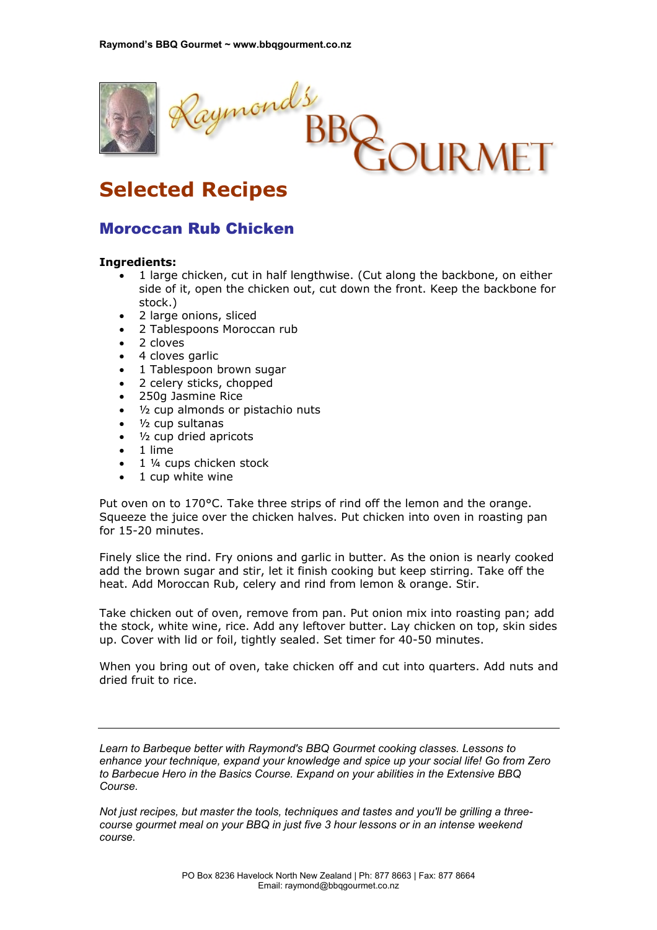

## **Selected Recipes**

## Moroccan Rub Chicken

## **Ingredients:**

- 1 large chicken, cut in half lengthwise. (Cut along the backbone, on either side of it, open the chicken out, cut down the front. Keep the backbone for stock.)
- 2 large onions, sliced
- 2 Tablespoons Moroccan rub
- 2 cloves
- 4 cloves garlic
- 1 Tablespoon brown sugar
- 2 celery sticks, chopped
- 250g Jasmine Rice
- <sup>1</sup>/<sub>2</sub> cup almonds or pistachio nuts
- 1/<sub>2</sub> cup sultanas
- 1/<sub>2</sub> cup dried apricots
- 1 lime
- 1 1/4 cups chicken stock
- 1 cup white wine

Put oven on to 170°C. Take three strips of rind off the lemon and the orange. Squeeze the juice over the chicken halves. Put chicken into oven in roasting pan for 15-20 minutes.

Finely slice the rind. Fry onions and garlic in butter. As the onion is nearly cooked add the brown sugar and stir, let it finish cooking but keep stirring. Take off the heat. Add Moroccan Rub, celery and rind from lemon & orange. Stir.

Take chicken out of oven, remove from pan. Put onion mix into roasting pan; add the stock, white wine, rice. Add any leftover butter. Lay chicken on top, skin sides up. Cover with lid or foil, tightly sealed. Set timer for 40-50 minutes.

When you bring out of oven, take chicken off and cut into quarters. Add nuts and dried fruit to rice.

*Learn to Barbeque better with Raymond's BBQ Gourmet cooking classes. Lessons to enhance your technique, expand your knowledge and spice up your social life! Go from Zero to Barbecue Hero in the Basics Course. Expand on your abilities in the Extensive BBQ Course.* 

*Not just recipes, but master the tools, techniques and tastes and you'll be grilling a threecourse gourmet meal on your BBQ in just five 3 hour lessons or in an intense weekend course.*